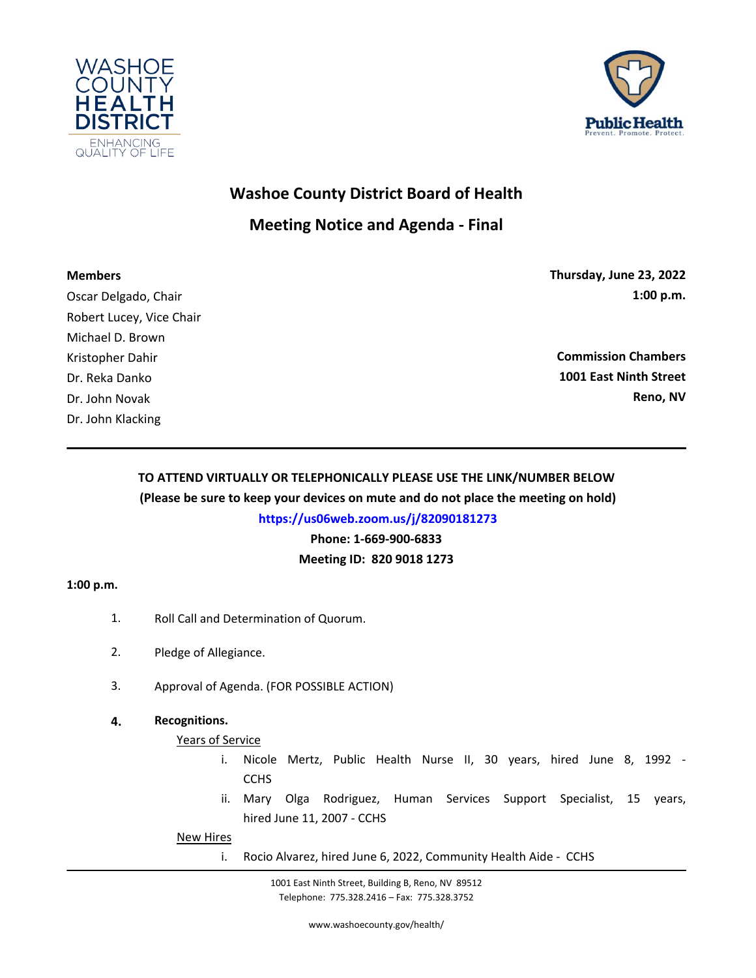



# **Washoe County District Board of Health**

## **Meeting Notice and Agenda - Final**

### **Members**

Oscar Delgado, Chair Robert Lucey, Vice Chair Michael D. Brown Kristopher Dahir Dr. Reka Danko Dr. John Novak Dr. John Klacking

**Thursday, June 23, 2022 1:00 p.m.**

**Commission Chambers 1001 East Ninth Street Reno, NV**

## **TO ATTEND VIRTUALLY OR TELEPHONICALLY PLEASE USE THE LINK/NUMBER BELOW (Please be sure to keep your devices on mute and do not place the meeting on hold)**

**https://us06web.zoom.us/j/82090181273**

**Phone: 1-669-900-6833** 

**Meeting ID: 820 9018 1273**

## **1:00 p.m.**

- 1. Roll Call and Determination of Quorum.
- 2. Pledge of Allegiance.
- 3. Approval of Agenda. (FOR POSSIBLE ACTION)

## **4. Recognitions.**

## Years of Service

- [i. Nicole Mertz, Public Health Nurse II, 30 years, hired June 8, 1992 -](http://washoe-nv.legistar.com/gateway.aspx?m=l&id=/matter.aspx?key=7712) **CCHS**
- ii. Mary Olga Rodriguez, Human Services Support Specialist, 15 years, hired June 11, 2007 - CCHS

New Hires

i. Rocio Alvarez, hired June 6, 2022, Community Health Aide - CCHS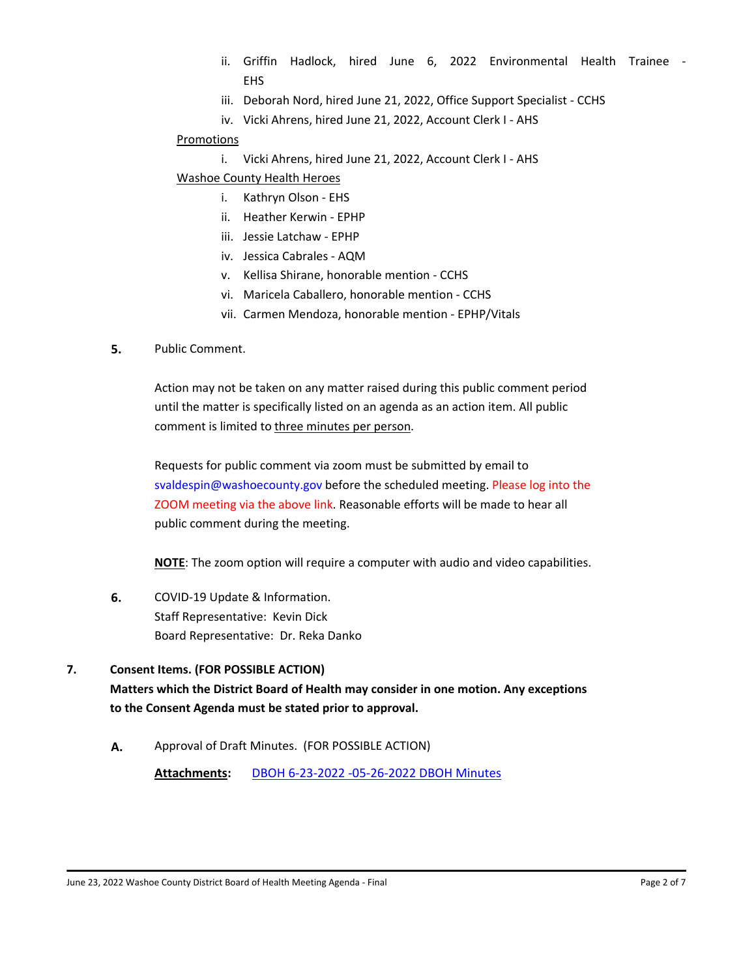- ii. Griffin Hadlock, hired June 6, 2022 Environmental Health Trainee EHS
- iii. [Deborah Nord, hired June 21, 2022, Office Support Specialist CCHS](http://washoe-nv.legistar.com/gateway.aspx?m=l&id=/matter.aspx?key=7712)
- iv. Vicki Ahrens, hired June 21, 2022, Account Clerk I AHS

#### Promotions

i. Vicki Ahrens, hired June 21, 2022, Account Clerk I - AHS

#### Washoe County Health Heroes

- i. Kathryn Olson EHS
- ii. Heather Kerwin EPHP
- iii. Jessie Latchaw EPHP
- iv. Jessica Cabrales AQM
- v. Kellisa Shirane, honorable mention CCHS
- vi. Maricela Caballero, honorable mention CCHS
- vii. Carmen Mendoza, honorable mention EPHP/Vitals

#### **5.** Public Comment.

Action may not be taken on any matter raised during this public comment period until the matter is specifically listed on an agenda as an action item. All public comment is limited to three minutes per person.

Requests for public comment via zoom must be submitted by email to [svaldespin@washoecounty.gov before the scheduled meeting. Please log into the](http://washoe-nv.legistar.com/gateway.aspx?m=l&id=/matter.aspx?key=7616) ZOOM meeting via the above link. Reasonable efforts will be made to hear all public comment during the meeting.

**NOTE**: The zoom option will require a computer with audio and video capabilities.

**6.** COVID-19 Update & Information. Staff Representative: Kevin Dick [Board Representative: Dr. Reka Danko](http://washoe-nv.legistar.com/gateway.aspx?m=l&id=/matter.aspx?key=7715)

#### **7. Consent Items. (FOR POSSIBLE ACTION)**

**Matters which the District Board of Health may consider in one motion. Any exceptions to the Consent Agenda must be stated prior to approval.**

**A.** [Approval of Draft Minutes. \(FOR POSSIBLE ACTION\)](http://washoe-nv.legistar.com/gateway.aspx?m=l&id=/matter.aspx?key=7713)

**Attachments:** [DBOH 6-23-2022 -05-26-2022 DBOH Minutes](http://washoe-nv.legistar.com/gateway.aspx?M=F&ID=b6f90cb0-3ece-4075-91eb-f81c7db262f6.docx)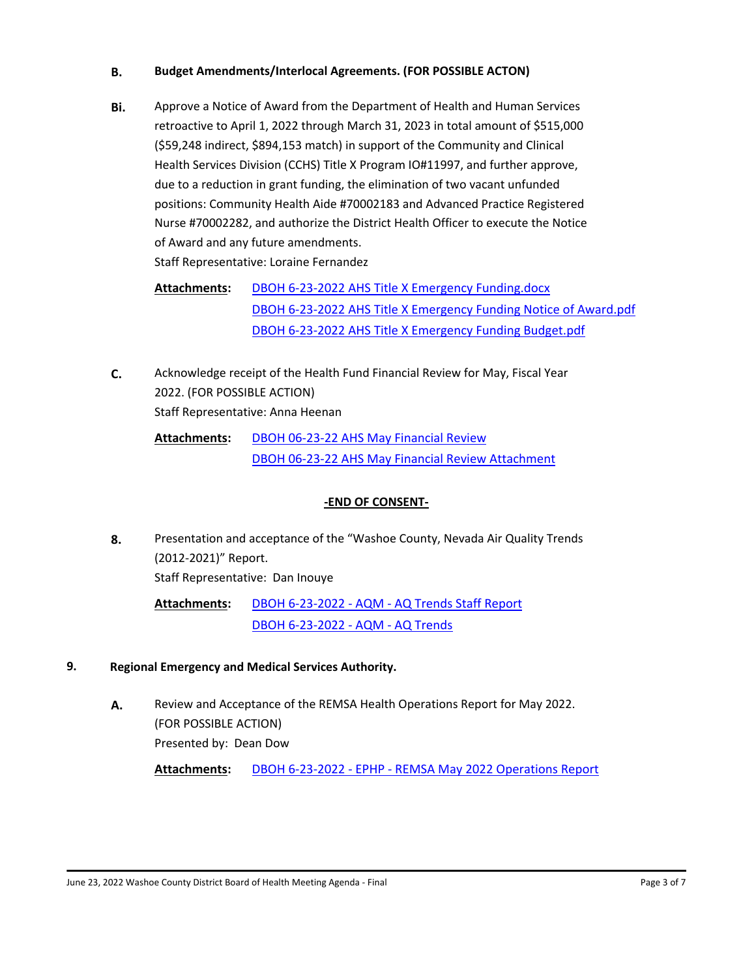#### **B. [Budget Amendments/Interlocal Agreements. \(FOR POSSIBLE ACTON\)](http://washoe-nv.legistar.com/gateway.aspx?m=l&id=/matter.aspx?key=7617)**

**Bi.** Approve a Notice of Award from the Department of Health and Human Services retroactive to April 1, 2022 through March 31, 2023 in total amount of \$515,000 (\$59,248 indirect, \$894,153 match) in support of the Community and Clinical Health Services Division (CCHS) Title X Program IO#11997, and further approve, due to a reduction in grant funding, the elimination of two vacant unfunded positions: Community Health Aide #70002183 and Advanced Practice Registered [Nurse #70002282, and authorize the District Health Officer to execute the Notice](http://washoe-nv.legistar.com/gateway.aspx?m=l&id=/matter.aspx?key=7543)  of Award and any future amendments. Staff Representative: Loraine Fernandez

[DBOH 6-23-2022 AHS Title X Emergency Funding.docx](http://washoe-nv.legistar.com/gateway.aspx?M=F&ID=e9334c65-0a7a-4853-8dd1-87006890b973.docx) [DBOH 6-23-2022 AHS Title X Emergency Funding Notice of Award.pdf](http://washoe-nv.legistar.com/gateway.aspx?M=F&ID=a648283b-1b67-41f8-b8c3-555061d94d69.pdf) [DBOH 6-23-2022 AHS Title X Emergency Funding Budget.pdf](http://washoe-nv.legistar.com/gateway.aspx?M=F&ID=98f2085b-e029-42e9-91a7-d545a10024e9.pdf) **Attachments:**

**C.** [Acknowledge receipt of the Health Fund Financial Review for May, Fiscal Year](http://washoe-nv.legistar.com/gateway.aspx?m=l&id=/matter.aspx?key=7653)  2022. (FOR POSSIBLE ACTION) Staff Representative: Anna Heenan

[DBOH 06-23-22 AHS May Financial Review](http://washoe-nv.legistar.com/gateway.aspx?M=F&ID=43a00c28-48d3-4414-9882-f30e0325fbe4.docx) [DBOH 06-23-22 AHS May Financial Review Attachment](http://washoe-nv.legistar.com/gateway.aspx?M=F&ID=aa33a586-c7c6-40e9-b725-d3afab92049b.pdf) **Attachments:**

#### **-END OF CONSENT-**

**8.** [Presentation and acceptance of the "Washoe County, Nevada Air Quality Trends](http://washoe-nv.legistar.com/gateway.aspx?m=l&id=/matter.aspx?key=7655)  (2012-2021)" Report. Staff Representative: Dan Inouye

[DBOH 6-23-2022 - AQM - AQ Trends Staff Report](http://washoe-nv.legistar.com/gateway.aspx?M=F&ID=d04f1636-58b5-4418-b8cd-5496e561a0cc.docx) [DBOH 6-23-2022 - AQM - AQ Trends](http://washoe-nv.legistar.com/gateway.aspx?M=F&ID=bc35d780-b5e8-497d-9cf7-0eee07b40af3.pdf) **Attachments:**

## **9. Regional Emergency and Medical Services Authority.**

**A.** [Review and Acceptance of the REMSA Health Operations Report for May 2022.](http://washoe-nv.legistar.com/gateway.aspx?m=l&id=/matter.aspx?key=7328)  (FOR POSSIBLE ACTION) Presented by: Dean Dow

**Attachments:** [DBOH 6-23-2022 - EPHP - REMSA May 2022 Operations Report](http://washoe-nv.legistar.com/gateway.aspx?M=F&ID=00189af5-1924-4e98-863a-4f9a12e52ef5.docx)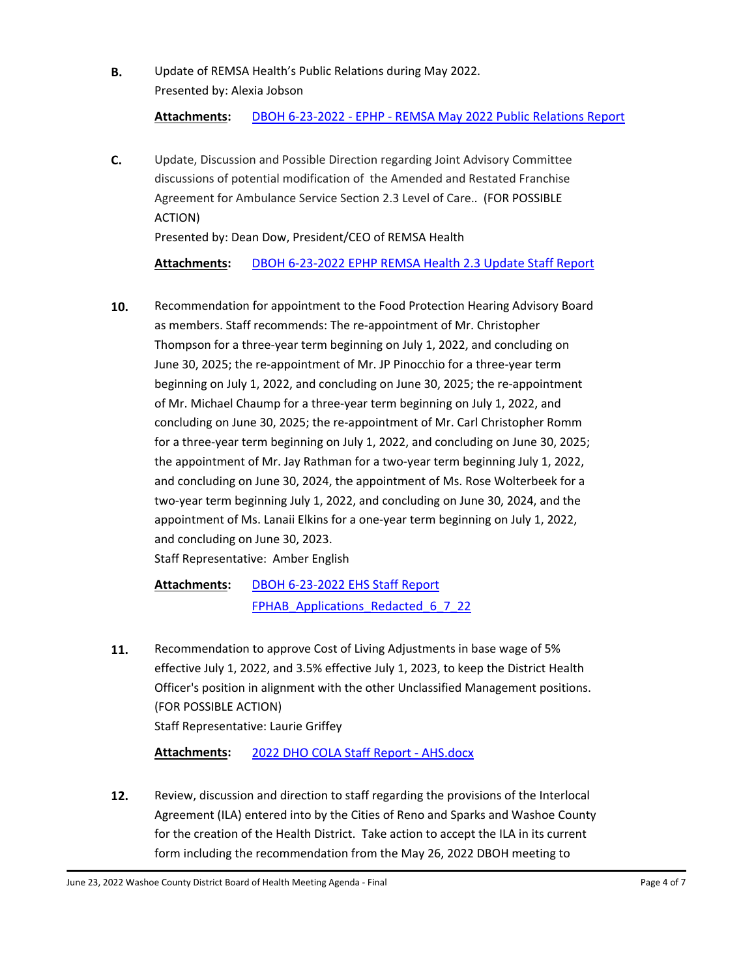**B.** [Update of REMSA Health's Public Relations during May 2022.](http://washoe-nv.legistar.com/gateway.aspx?m=l&id=/matter.aspx?key=7334) Presented by: Alexia Jobson

**Attachments:** [DBOH 6-23-2022 - EPHP - REMSA May 2022 Public Relations Report](http://washoe-nv.legistar.com/gateway.aspx?M=F&ID=da4d455d-bfca-45f6-9bba-abdeea7adaed.docx)

**C.** [Update, Discussion and Possible Direction regarding Joint Advisory Committee](http://washoe-nv.legistar.com/gateway.aspx?m=l&id=/matter.aspx?key=7695)  discussions of potential modification of the Amended and Restated Franchise Agreement for Ambulance Service Section 2.3 Level of Care.. (FOR POSSIBLE ACTION)

Presented by: Dean Dow, President/CEO of REMSA Health

**Attachments:** [DBOH 6-23-2022 EPHP REMSA Health 2.3 Update Staff Report](http://washoe-nv.legistar.com/gateway.aspx?M=F&ID=1d4c3ed4-1769-4137-a787-b588b8c9f3c6.docx)

**10.** [Recommendation for appointment to the Food Protection Hearing Advisory Board](http://washoe-nv.legistar.com/gateway.aspx?m=l&id=/matter.aspx?key=7693)  as members. Staff recommends: The re-appointment of Mr. Christopher Thompson for a three-year term beginning on July 1, 2022, and concluding on June 30, 2025; the re-appointment of Mr. JP Pinocchio for a three-year term beginning on July 1, 2022, and concluding on June 30, 2025; the re-appointment of Mr. Michael Chaump for a three-year term beginning on July 1, 2022, and concluding on June 30, 2025; the re-appointment of Mr. Carl Christopher Romm for a three-year term beginning on July 1, 2022, and concluding on June 30, 2025; the appointment of Mr. Jay Rathman for a two-year term beginning July 1, 2022, and concluding on June 30, 2024, the appointment of Ms. Rose Wolterbeek for a two-year term beginning July 1, 2022, and concluding on June 30, 2024, and the appointment of Ms. Lanaii Elkins for a one-year term beginning on July 1, 2022, and concluding on June 30, 2023.

Staff Representative: Amber English

[DBOH 6-23-2022 EHS Staff Report](http://washoe-nv.legistar.com/gateway.aspx?M=F&ID=5f3b8f0c-8e89-470d-ac48-f380873eed5b.docx) FPHAB Applications Redacted 6 7 22 **Attachments:**

**11.** Recommendation to approve Cost of Living Adjustments in base wage of 5% effective July 1, 2022, and 3.5% effective July 1, 2023, to keep the District Health [Officer's position in alignment with the other Unclassified Management positions.](http://washoe-nv.legistar.com/gateway.aspx?m=l&id=/matter.aspx?key=7679)  (FOR POSSIBLE ACTION) Staff Representative: Laurie Griffey

**Attachments:** [2022 DHO COLA Staff Report - AHS.docx](http://washoe-nv.legistar.com/gateway.aspx?M=F&ID=5b900ddc-6182-4f19-ba66-688498a1db6d.docx)

**12.** Review, discussion and direction to staff regarding the provisions of the Interlocal [Agreement \(ILA\) entered into by the Cities of Reno and Sparks and Washoe County](http://washoe-nv.legistar.com/gateway.aspx?m=l&id=/matter.aspx?key=7697)  for the creation of the Health District. Take action to accept the ILA in its current form including the recommendation from the May 26, 2022 DBOH meeting to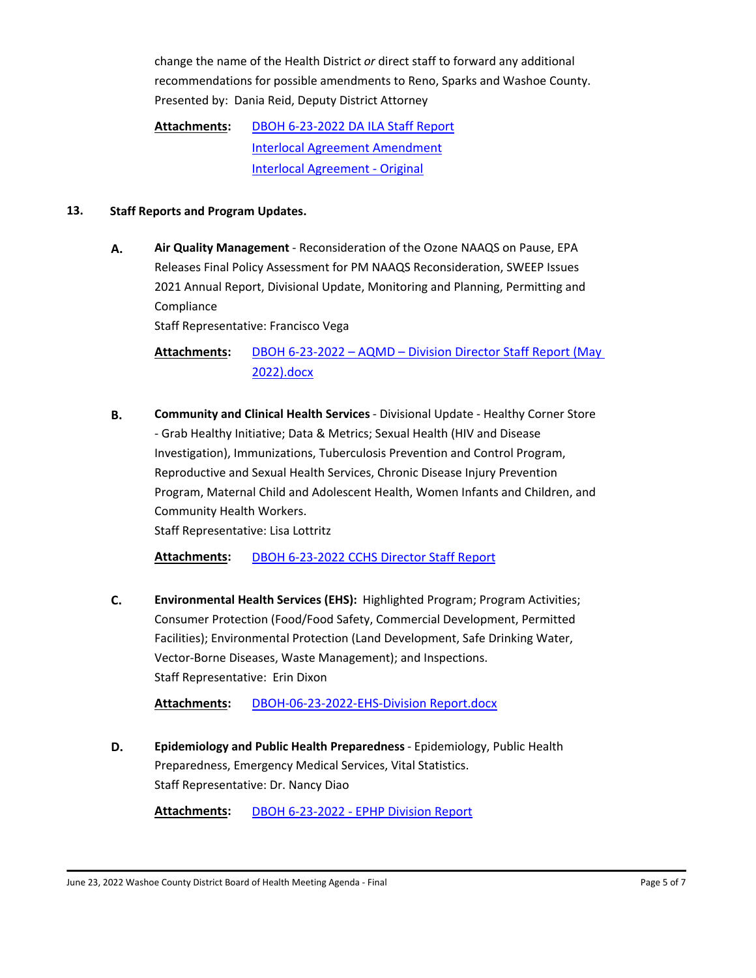change the name of the Health District *or* direct staff to forward any additional [recommendations for possible amendments to Reno, Sparks and Washoe County.](http://washoe-nv.legistar.com/gateway.aspx?m=l&id=/matter.aspx?key=7697) Presented by: Dania Reid, Deputy District Attorney

[DBOH 6-23-2022 DA ILA Staff Report](http://washoe-nv.legistar.com/gateway.aspx?M=F&ID=6ef76824-3b4c-4cc2-92d8-f27746d3b929.doc) [Interlocal Agreement Amendment](http://washoe-nv.legistar.com/gateway.aspx?M=F&ID=894979c6-7fe0-401c-a25c-f7fcc544fdae.pdf) [Interlocal Agreement - Original](http://washoe-nv.legistar.com/gateway.aspx?M=F&ID=9b319fe4-3c03-4a8f-956e-8d413cea35a8.pdf) **Attachments:**

#### **13. Staff Reports and Program Updates.**

**A. Air Quality Management** - Reconsideration of the Ozone NAAQS on Pause, EPA Releases Final Policy Assessment for PM NAAQS Reconsideration, SWEEP Issues [2021 Annual Report, Divisional Update, Monitoring and Planning, Permitting and](http://washoe-nv.legistar.com/gateway.aspx?m=l&id=/matter.aspx?key=7725)  Compliance

Staff Representative: Francisco Vega

[DBOH 6-23-2022 – AQMD – Division Director Staff Report \(May](http://washoe-nv.legistar.com/gateway.aspx?M=F&ID=a24c82bd-5ccd-45ba-a7f5-7e97e9f1bbd5.docx)  2022).docx **Attachments:**

**B. Community and Clinical Health Services** - Divisional Update - Healthy Corner Store - Grab Healthy Initiative; Data & Metrics; Sexual Health (HIV and Disease Investigation), Immunizations, Tuberculosis Prevention and Control Program, Reproductive and Sexual Health Services, Chronic Disease Injury Prevention [Program, Maternal Child and Adolescent Health, Women Infants and Children, and](http://washoe-nv.legistar.com/gateway.aspx?m=l&id=/matter.aspx?key=7558)  Community Health Workers.

Staff Representative: Lisa Lottritz

**Attachments:** [DBOH 6-23-2022 CCHS Director Staff Report](http://washoe-nv.legistar.com/gateway.aspx?M=F&ID=331977af-f269-4700-948d-4d4ddfdabac5.docx)

**C. Environmental Health Services (EHS):** Highlighted Program; Program Activities; [Consumer Protection \(Food/Food Safety, Commercial Development, Permitted](http://washoe-nv.legistar.com/gateway.aspx?m=l&id=/matter.aspx?key=7691)  Facilities); Environmental Protection (Land Development, Safe Drinking Water, Vector-Borne Diseases, Waste Management); and Inspections. Staff Representative: Erin Dixon

**Attachments:** [DBOH-06-23-2022-EHS-Division Report.docx](http://washoe-nv.legistar.com/gateway.aspx?M=F&ID=0ce5c1ac-7399-4a03-baa3-d8ea9a4dffef.docx)

**D. Epidemiology and Public Health Preparedness** - Epidemiology, Public Health [Preparedness, Emergency Medical Services, Vital Statistics.](http://washoe-nv.legistar.com/gateway.aspx?m=l&id=/matter.aspx?key=7311) Staff Representative: Dr. Nancy Diao

**Attachments:** [DBOH 6-23-2022 - EPHP Division Report](http://washoe-nv.legistar.com/gateway.aspx?M=F&ID=7f7c4efa-c504-42fd-b766-2335e2399dc4.docx)

June 23, 2022 Washoe County District Board of Health Meeting Agenda - Final Page 1 of 7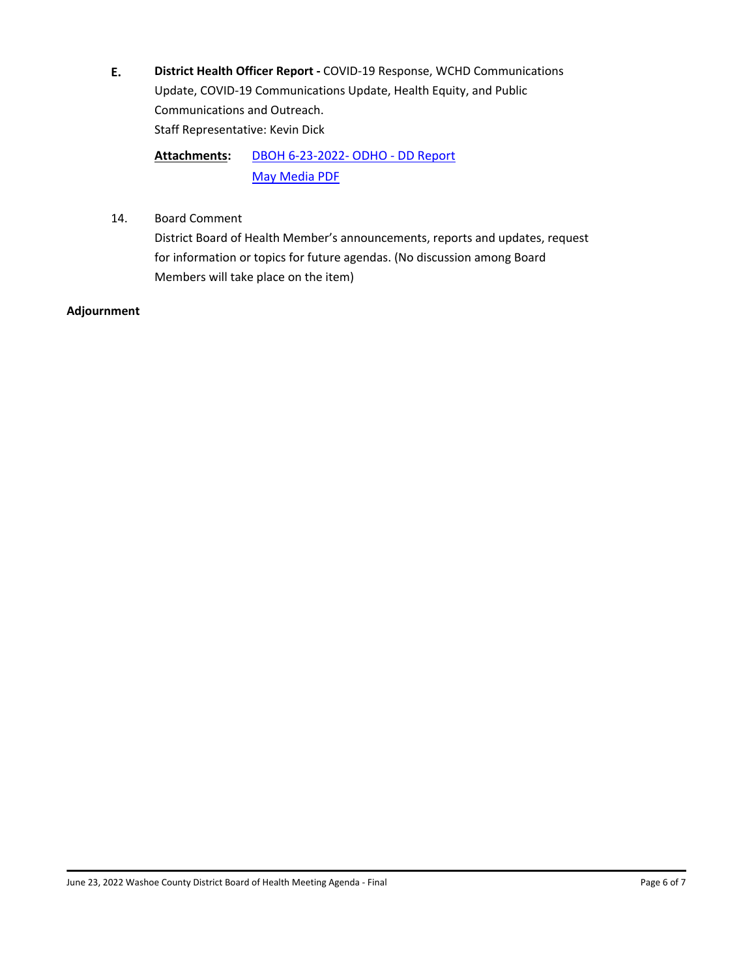**E. District Health Officer Report -** COVID-19 Response, WCHD Communications [Update, COVID-19 Communications Update, Health Equity, and Public](http://washoe-nv.legistar.com/gateway.aspx?m=l&id=/matter.aspx?key=7714)  Communications and Outreach. Staff Representative: Kevin Dick

[DBOH 6-23-2022- ODHO - DD Report](http://washoe-nv.legistar.com/gateway.aspx?M=F&ID=dcc08a6e-5315-469d-b1db-f0f443d22171.docx) [May Media PDF](http://washoe-nv.legistar.com/gateway.aspx?M=F&ID=1d4c7fdc-8bde-41f3-af7a-7b87130856fa.pdf) **Attachments:**

14. Board Comment

District Board of Health Member's announcements, reports and updates, request for information or topics for future agendas. (No discussion among Board Members will take place on the item)

#### **Adjournment**